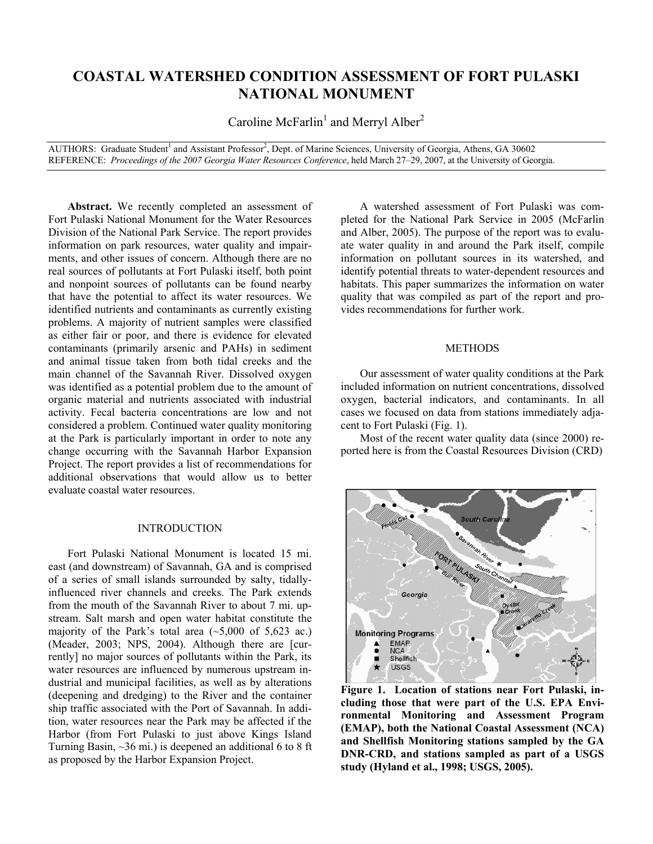# **COASTAL WATERSHED CONDITION ASSESSMENT OF FORT PULASKI NATIONAL MONUMENT**

Caroline McFarlin<sup>1</sup> and Merryl Alber<sup>2</sup>

AUTHORS: Graduate Student<sup>1</sup> and Assistant Professor<sup>2</sup>, Dept. of Marine Sciences, University of Georgia, Athens, GA 30602 REFERENCE: *Proceedings of the 2007 Georgia Water Resources Conference*, held March 27–29, 2007, at the University of Georgia.

Abstract. We recently completed an assessment of Fort Pulaski National Monument for the Water Resources Division of the National Park Service. The report provides information on park resources, water quality and impairments, and other issues of concern. Although there are no real sources of pollutants at Fort Pulaski itself, both point and nonpoint sources of pollutants can be found nearby that have the potential to affect its water resources. We identified nutrients and contaminants as currently existing problems. A majority of nutrient samples were classified as either fair or poor, and there is evidence for elevated contaminants (primarily arsenic and PAHs) in sediment and animal tissue taken from both tidal creeks and the main channel of the Savannah River. Dissolved oxygen was identified as a potential problem due to the amount of organic material and nutrients associated with industrial activity. Fecal bacteria concentrations are low and not considered a problem. Continued water quality monitoring at the Park is particularly important in order to note any change occurring with the Savannah Harbor Expansion Project. The report provides a list of recommendations for additional observations that would allow us to better evaluate coastal water resources.

## INTRODUCTION

Fort Pulaski National Monument is located 15 mi. east (and downstream) of Savannah, GA and is comprised of a series of small islands surrounded by salty, tidallyinfluenced river channels and creeks. The Park extends from the mouth of the Savannah River to about 7 mi. upstream. Salt marsh and open water habitat constitute the majority of the Park's total area  $(-5,000 \text{ of } 5,623 \text{ ac.})$ (Meader, 2003; NPS, 2004). Although there are [currently] no major sources of pollutants within the Park, its water resources are influenced by numerous upstream industrial and municipal facilities, as well as by alterations (deepening and dredging) to the River and the container ship traffic associated with the Port of Savannah. In addition, water resources near the Park may be affected if the Harbor (from Fort Pulaski to just above Kings Island Turning Basin,  $\sim$ 36 mi.) is deepened an additional 6 to 8 ft as proposed by the Harbor Expansion Project.

A watershed assessment of Fort Pulaski was completed for the National Park Service in 2005 (McFarlin and Alber, 2005). The purpose of the report was to evaluate water quality in and around the Park itself, compile information on pollutant sources in its watershed, and identify potential threats to water-dependent resources and habitats. This paper summarizes the information on water quality that was compiled as part of the report and provides recommendations for further work.

## METHODS

Our assessment of water quality conditions at the Park included information on nutrient concentrations, dissolved oxygen, bacterial indicators, and contaminants. In all cases we focused on data from stations immediately adjacent to Fort Pulaski (Fig. 1).

Most of the recent water quality data (since 2000) reported here is from the Coastal Resources Division (CRD)



**Figure 1. Location of stations near Fort Pulaski, including those that were part of the U.S. EPA Environmental Monitoring and Assessment Program (EMAP), both the National Coastal Assessment (NCA) and Shellfish Monitoring stations sampled by the GA DNR-CRD, and stations sampled as part of a USGS study (Hyland et al., 1998; USGS, 2005).**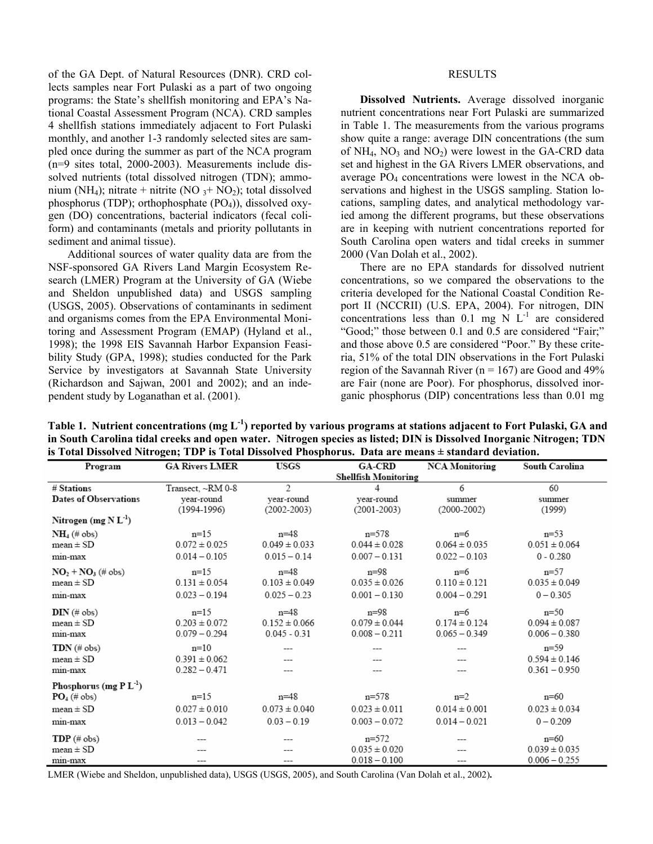of the GA Dept. of Natural Resources (DNR). CRD collects samples near Fort Pulaski as a part of two ongoing programs: the State's shellfish monitoring and EPA's National Coastal Assessment Program (NCA). CRD samples 4 shellfish stations immediately adjacent to Fort Pulaski monthly, and another 1-3 randomly selected sites are sampled once during the summer as part of the NCA program (n=9 sites total, 2000-2003). Measurements include dissolved nutrients (total dissolved nitrogen (TDN); ammonium (NH<sub>4</sub>); nitrate + nitrite (NO  $_3$ + NO<sub>2</sub>); total dissolved phosphorus (TDP); orthophosphate  $(PO<sub>4</sub>)$ ), dissolved oxygen (DO) concentrations, bacterial indicators (fecal coliform) and contaminants (metals and priority pollutants in sediment and animal tissue).

Additional sources of water quality data are from the NSF-sponsored GA Rivers Land Margin Ecosystem Research (LMER) Program at the University of GA (Wiebe and Sheldon unpublished data) and USGS sampling (USGS, 2005). Observations of contaminants in sediment and organisms comes from the EPA Environmental Monitoring and Assessment Program (EMAP) (Hyland et al., 1998); the 1998 EIS Savannah Harbor Expansion Feasibility Study (GPA, 1998); studies conducted for the Park Service by investigators at Savannah State University (Richardson and Sajwan, 2001 and 2002); and an independent study by Loganathan et al. (2001).

# **RESULTS**

**Dissolved Nutrients.** Average dissolved inorganic nutrient concentrations near Fort Pulaski are summarized in Table 1. The measurements from the various programs show quite a range: average DIN concentrations (the sum of  $NH_4$ ,  $NO_3$  and  $NO_2$ ) were lowest in the GA-CRD data set and highest in the GA Rivers LMER observations, and average PO4 concentrations were lowest in the NCA observations and highest in the USGS sampling. Station locations, sampling dates, and analytical methodology varied among the different programs, but these observations are in keeping with nutrient concentrations reported for South Carolina open waters and tidal creeks in summer 2000 (Van Dolah et al., 2002).

There are no EPA standards for dissolved nutrient concentrations, so we compared the observations to the criteria developed for the National Coastal Condition Report II (NCCRII) (U.S. EPA, 2004). For nitrogen, DIN concentrations less than 0.1 mg N  $L^{-1}$  are considered "Good;" those between 0.1 and 0.5 are considered "Fair;" and those above 0.5 are considered "Poor." By these criteria, 51% of the total DIN observations in the Fort Pulaski region of the Savannah River ( $n = 167$ ) are Good and 49% are Fair (none are Poor). For phosphorus, dissolved inorganic phosphorus (DIP) concentrations less than 0.01 mg

**Table 1. Nutrient concentrations (mg L-1) reported by various programs at stations adjacent to Fort Pulaski, GA and in South Carolina tidal creeks and open water. Nitrogen species as listed; DIN is Dissolved Inorganic Nitrogen; TDN is Total Dissolved Nitrogen; TDP is Total Dissolved Phosphorus. Data are means ± standard deviation.** 

| Program                      | <b>GA Rivers LMER</b>       | <b>USGS</b>       | <b>GA-CRD</b>     | <b>NCA Monitoring</b> | South Carolina    |
|------------------------------|-----------------------------|-------------------|-------------------|-----------------------|-------------------|
|                              | <b>Shellfish Monitoring</b> |                   |                   |                       |                   |
| # Stations                   | Transect, ~RM 0-8           | $\mathfrak{D}$    | 4                 | 6                     | 60                |
| <b>Dates of Observations</b> | vear-round                  | year-round        | year-round        | summer                | summer            |
|                              | $(1994-1996)$               | $(2002 - 2003)$   | $(2001 - 2003)$   | $(2000 - 2002)$       | (1999)            |
| Nitrogen $(mg N L-1)$        |                             |                   |                   |                       |                   |
| $NH_4$ (# obs)               | $n=15$                      | $n = 48$          | $n = 578$         | $n=6$                 | $n=53$            |
| $mean \pm SD$                | $0.072 \pm 0.025$           | $0.049 \pm 0.033$ | $0.044 \pm 0.028$ | $0.064 \pm 0.035$     | $0.051 \pm 0.064$ |
| min-max                      | $0.014 - 0.105$             | $0.015 - 0.14$    | $0.007 - 0.131$   | $0.022 - 0.103$       | $0 - 0.280$       |
| $NO2 + NO3$ (# obs)          | $n=15$                      | $n=48$            | $n=98$            | $n=6$                 | $n=57$            |
| $mean \pm SD$                | $0.131 \pm 0.054$           | $0.103 \pm 0.049$ | $0.035 \pm 0.026$ | $0.110 \pm 0.121$     | $0.035 \pm 0.049$ |
| min-max                      | $0.023 - 0.194$             | $0.025 - 0.23$    | $0.001 - 0.130$   | $0.004 - 0.291$       | $0 - 0.305$       |
| $DIN$ (# obs)                | $n=15$                      | $n=48$            | $n=98$            | n=6                   | $n=50$            |
| $mean \pm SD$                | $0.203 \pm 0.072$           | $0.152 \pm 0.066$ | $0.079 \pm 0.044$ | $0.174 \pm 0.124$     | $0.094 \pm 0.087$ |
| min-max                      | $0.079 - 0.294$             | $0.045 - 0.31$    | $0.008 - 0.211$   | $0.065 - 0.349$       | $0.006 - 0.380$   |
| $TDN$ (# obs)                | $n=10$                      |                   |                   |                       | $n=59$            |
| $mean \pm SD$                | $0.391 \pm 0.062$           |                   |                   |                       | $0.594 \pm 0.146$ |
| min-max                      | $0.282 - 0.471$             |                   |                   |                       | $0.361 - 0.950$   |
| Phosphorus (mg P $L^{-1}$ )  |                             |                   |                   |                       |                   |
| $PO4$ (# obs)                | $n=15$                      | $n=48$            | $n = 578$         | $n=2$                 | $n=60$            |
| $mean \pm SD$                | $0.027 \pm 0.010$           | $0.073 \pm 0.040$ | $0.023 \pm 0.011$ | $0.014 \pm 0.001$     | $0.023 \pm 0.034$ |
| min-max                      | $0.013 - 0.042$             | $0.03 - 0.19$     | $0.003 - 0.072$   | $0.014 - 0.021$       | $0 - 0.209$       |
| $\mathbf{TDP}$ (# obs)       |                             |                   | $n = 572$         |                       | $n=60$            |
| $mean \pm SD$                |                             |                   | $0.035 \pm 0.020$ |                       | $0.039 \pm 0.035$ |
| min-max                      |                             |                   | $0.018 - 0.100$   |                       | $0.006 - 0.255$   |

LMER (Wiebe and Sheldon, unpublished data), USGS (USGS, 2005), and South Carolina (Van Dolah et al., 2002)**.**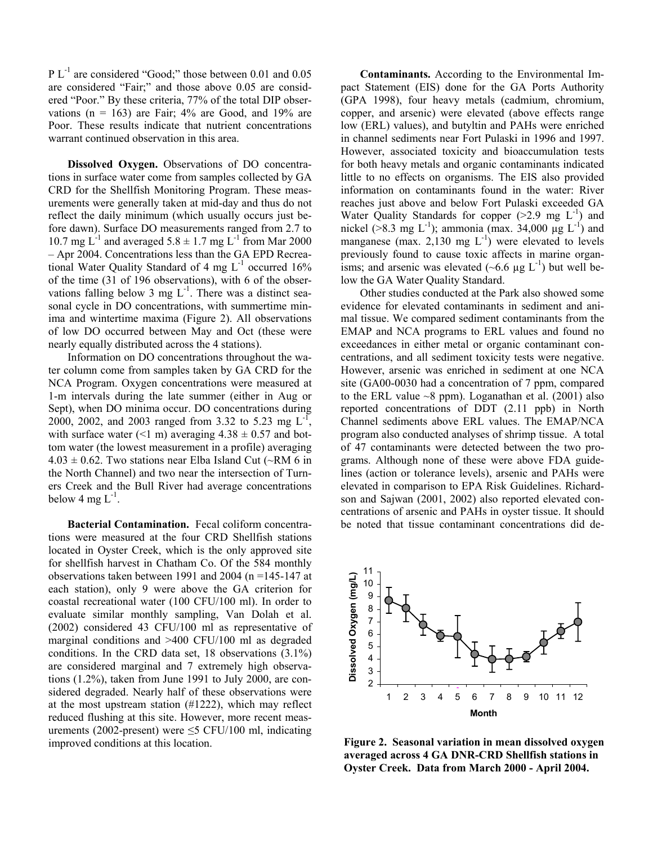$PL^{-1}$  are considered "Good;" those between 0.01 and 0.05 are considered "Fair;" and those above 0.05 are considered "Poor." By these criteria, 77% of the total DIP observations ( $n = 163$ ) are Fair; 4% are Good, and 19% are Poor. These results indicate that nutrient concentrations warrant continued observation in this area.

**Dissolved Oxygen.** Observations of DO concentrations in surface water come from samples collected by GA CRD for the Shellfish Monitoring Program. These measurements were generally taken at mid-day and thus do not reflect the daily minimum (which usually occurs just before dawn). Surface DO measurements ranged from 2.7 to 10.7 mg  $L^{-1}$  and averaged 5.8  $\pm$  1.7 mg  $L^{-1}$  from Mar 2000 – Apr 2004. Concentrations less than the GA EPD Recreational Water Quality Standard of 4 mg  $L^{-1}$  occurred 16% of the time (31 of 196 observations), with 6 of the observations falling below 3 mg  $L^{-1}$ . There was a distinct seasonal cycle in DO concentrations, with summertime minima and wintertime maxima (Figure 2). All observations of low DO occurred between May and Oct (these were nearly equally distributed across the 4 stations).

Information on DO concentrations throughout the water column come from samples taken by GA CRD for the NCA Program. Oxygen concentrations were measured at 1-m intervals during the late summer (either in Aug or Sept), when DO minima occur. DO concentrations during 2000, 2002, and 2003 ranged from 3.32 to 5.23 mg L-1, with surface water (<1 m) averaging  $4.38 \pm 0.57$  and bottom water (the lowest measurement in a profile) averaging  $4.03 \pm 0.62$ . Two stations near Elba Island Cut (~RM 6 in the North Channel) and two near the intersection of Turners Creek and the Bull River had average concentrations below 4 mg  $L^{-1}$ .

**Bacterial Contamination.** Fecal coliform concentrations were measured at the four CRD Shellfish stations located in Oyster Creek, which is the only approved site for shellfish harvest in Chatham Co. Of the 584 monthly observations taken between 1991 and 2004 (n =145-147 at each station), only 9 were above the GA criterion for coastal recreational water (100 CFU/100 ml). In order to evaluate similar monthly sampling, Van Dolah et al. (2002) considered 43 CFU/100 ml as representative of marginal conditions and >400 CFU/100 ml as degraded conditions. In the CRD data set, 18 observations (3.1%) are considered marginal and 7 extremely high observations (1.2%), taken from June 1991 to July 2000, are considered degraded. Nearly half of these observations were at the most upstream station (#1222), which may reflect reduced flushing at this site. However, more recent measurements (2002-present) were  $\leq$ 5 CFU/100 ml, indicating improved conditions at this location.

**Contaminants.** According to the Environmental Impact Statement (EIS) done for the GA Ports Authority (GPA 1998), four heavy metals (cadmium, chromium, copper, and arsenic) were elevated (above effects range low (ERL) values), and butyltin and PAHs were enriched in channel sediments near Fort Pulaski in 1996 and 1997. However, associated toxicity and bioaccumulation tests for both heavy metals and organic contaminants indicated little to no effects on organisms. The EIS also provided information on contaminants found in the water: River reaches just above and below Fort Pulaski exceeded GA Water Quality Standards for copper  $(>2.9$  mg  $L^{-1}$ ) and nickel (>8.3 mg L<sup>-1</sup>); ammonia (max. 34,000 µg L<sup>-1</sup>) and manganese (max.  $2,130$  mg  $L^{-1}$ ) were elevated to levels previously found to cause toxic affects in marine organisms; and arsenic was elevated  $(-6.6 \text{ µg L}^{-1})$  but well below the GA Water Quality Standard.

Other studies conducted at the Park also showed some evidence for elevated contaminants in sediment and animal tissue. We compared sediment contaminants from the EMAP and NCA programs to ERL values and found no exceedances in either metal or organic contaminant concentrations, and all sediment toxicity tests were negative. However, arsenic was enriched in sediment at one NCA site (GA00-0030 had a concentration of 7 ppm, compared to the ERL value  $\sim$ 8 ppm). Loganathan et al. (2001) also reported concentrations of DDT (2.11 ppb) in North Channel sediments above ERL values. The EMAP/NCA program also conducted analyses of shrimp tissue. A total of 47 contaminants were detected between the two programs. Although none of these were above FDA guidelines (action or tolerance levels), arsenic and PAHs were elevated in comparison to EPA Risk Guidelines. Richardson and Sajwan (2001, 2002) also reported elevated concentrations of arsenic and PAHs in oyster tissue. It should be noted that tissue contaminant concentrations did de-



**Figure 2. Seasonal variation in mean dissolved oxygen averaged across 4 GA DNR-CRD Shellfish stations in Oyster Creek. Data from March 2000 - April 2004.**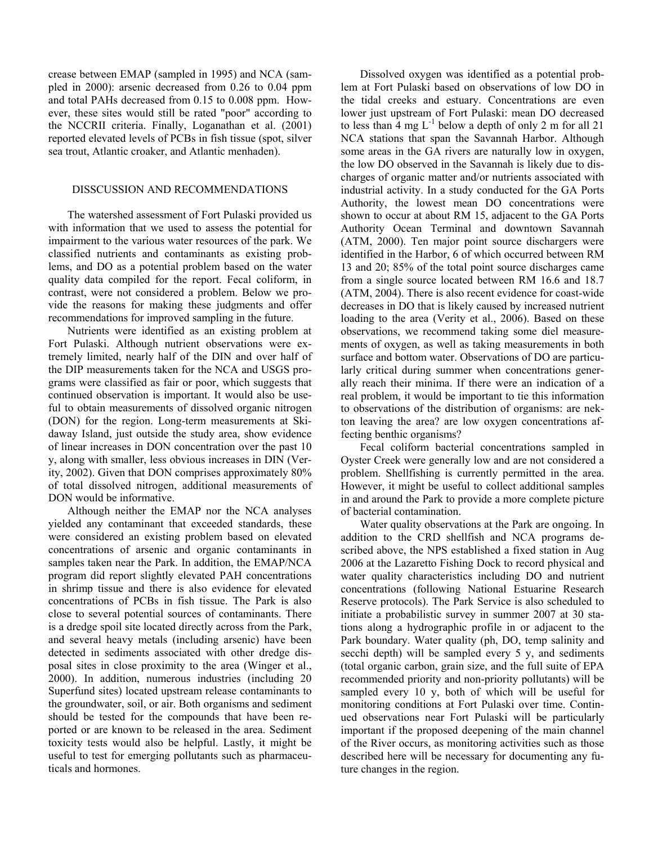crease between EMAP (sampled in 1995) and NCA (sampled in 2000): arsenic decreased from 0.26 to 0.04 ppm and total PAHs decreased from 0.15 to 0.008 ppm. However, these sites would still be rated "poor" according to the NCCRII criteria. Finally, Loganathan et al. (2001) reported elevated levels of PCBs in fish tissue (spot, silver sea trout, Atlantic croaker, and Atlantic menhaden).

# DISSCUSSION AND RECOMMENDATIONS

The watershed assessment of Fort Pulaski provided us with information that we used to assess the potential for impairment to the various water resources of the park. We classified nutrients and contaminants as existing problems, and DO as a potential problem based on the water quality data compiled for the report. Fecal coliform, in contrast, were not considered a problem. Below we provide the reasons for making these judgments and offer recommendations for improved sampling in the future.

Nutrients were identified as an existing problem at Fort Pulaski. Although nutrient observations were extremely limited, nearly half of the DIN and over half of the DIP measurements taken for the NCA and USGS programs were classified as fair or poor, which suggests that continued observation is important. It would also be useful to obtain measurements of dissolved organic nitrogen (DON) for the region. Long-term measurements at Skidaway Island, just outside the study area, show evidence of linear increases in DON concentration over the past 10 y, along with smaller, less obvious increases in DIN (Verity, 2002). Given that DON comprises approximately 80% of total dissolved nitrogen, additional measurements of DON would be informative.

Although neither the EMAP nor the NCA analyses yielded any contaminant that exceeded standards, these were considered an existing problem based on elevated concentrations of arsenic and organic contaminants in samples taken near the Park. In addition, the EMAP/NCA program did report slightly elevated PAH concentrations in shrimp tissue and there is also evidence for elevated concentrations of PCBs in fish tissue. The Park is also close to several potential sources of contaminants. There is a dredge spoil site located directly across from the Park, and several heavy metals (including arsenic) have been detected in sediments associated with other dredge disposal sites in close proximity to the area (Winger et al., 2000). In addition, numerous industries (including 20 Superfund sites) located upstream release contaminants to the groundwater, soil, or air. Both organisms and sediment should be tested for the compounds that have been reported or are known to be released in the area. Sediment toxicity tests would also be helpful. Lastly, it might be useful to test for emerging pollutants such as pharmaceuticals and hormones.

Dissolved oxygen was identified as a potential problem at Fort Pulaski based on observations of low DO in the tidal creeks and estuary. Concentrations are even lower just upstream of Fort Pulaski: mean DO decreased to less than  $\overline{4}$  mg L<sup>-1</sup> below a depth of only 2 m for all 21 NCA stations that span the Savannah Harbor. Although some areas in the GA rivers are naturally low in oxygen, the low DO observed in the Savannah is likely due to discharges of organic matter and/or nutrients associated with industrial activity. In a study conducted for the GA Ports Authority, the lowest mean DO concentrations were shown to occur at about RM 15, adjacent to the GA Ports Authority Ocean Terminal and downtown Savannah (ATM, 2000). Ten major point source dischargers were identified in the Harbor, 6 of which occurred between RM 13 and 20; 85% of the total point source discharges came from a single source located between RM 16.6 and 18.7 (ATM, 2004). There is also recent evidence for coast-wide decreases in DO that is likely caused by increased nutrient loading to the area (Verity et al., 2006). Based on these observations, we recommend taking some diel measurements of oxygen, as well as taking measurements in both surface and bottom water. Observations of DO are particularly critical during summer when concentrations generally reach their minima. If there were an indication of a real problem, it would be important to tie this information to observations of the distribution of organisms: are nekton leaving the area? are low oxygen concentrations affecting benthic organisms?

Fecal coliform bacterial concentrations sampled in Oyster Creek were generally low and are not considered a problem. Shellfishing is currently permitted in the area. However, it might be useful to collect additional samples in and around the Park to provide a more complete picture of bacterial contamination.

Water quality observations at the Park are ongoing. In addition to the CRD shellfish and NCA programs described above, the NPS established a fixed station in Aug 2006 at the Lazaretto Fishing Dock to record physical and water quality characteristics including DO and nutrient concentrations (following National Estuarine Research Reserve protocols). The Park Service is also scheduled to initiate a probabilistic survey in summer 2007 at 30 stations along a hydrographic profile in or adjacent to the Park boundary. Water quality (ph, DO, temp salinity and secchi depth) will be sampled every 5 y, and sediments (total organic carbon, grain size, and the full suite of EPA recommended priority and non-priority pollutants) will be sampled every 10 y, both of which will be useful for monitoring conditions at Fort Pulaski over time. Continued observations near Fort Pulaski will be particularly important if the proposed deepening of the main channel of the River occurs, as monitoring activities such as those described here will be necessary for documenting any future changes in the region.